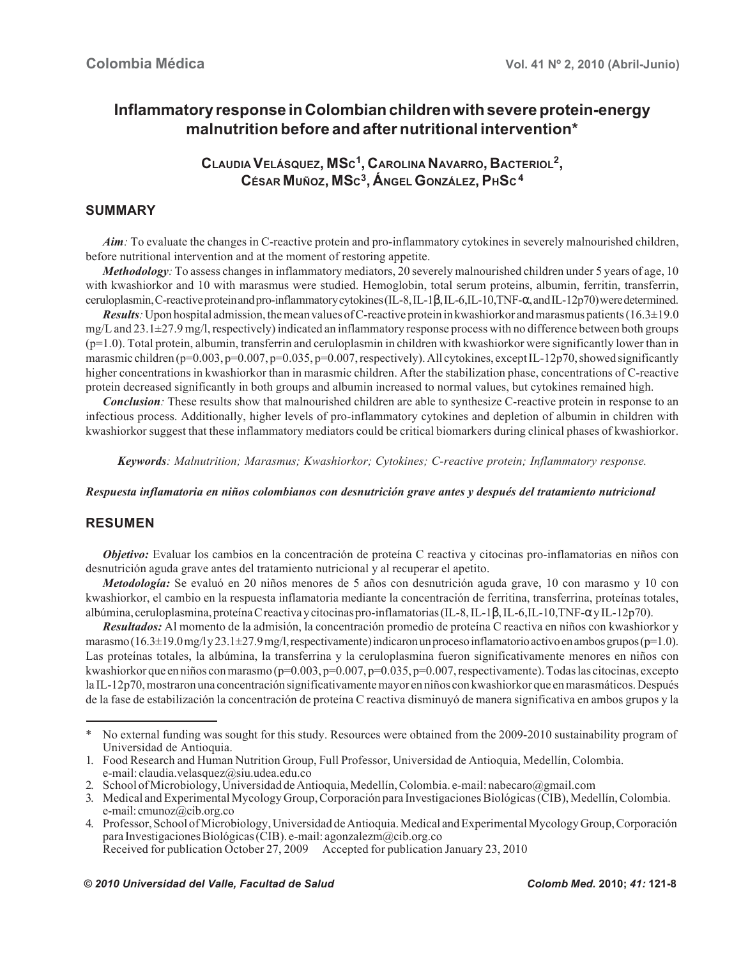# **Inflammatory response in Colombian children with severe protein-energy malnutrition before and after nutritional intervention\***

**CLAUDIA VELÁSQUEZ, MSC1, CAROLINA NAVARRO, BACTERIOL2, CÉSAR MUÑOZ, MSC3, ÁNGEL GONZÁLEZ, PHSC 4**

## **SUMMARY**

*Aim:* To evaluate the changes in C-reactive protein and pro-inflammatory cytokines in severely malnourished children, before nutritional intervention and at the moment of restoring appetite.

*Methodology*: To assess changes in inflammatory mediators, 20 severely malnourished children under 5 years of age, 10 with kwashiorkor and 10 with marasmus were studied. Hemoglobin, total serum proteins, albumin, ferritin, transferrin, ceruloplasmin, C-reactive protein and pro-inflammatory cytokines (IL-8, IL-1β, IL-6,IL-10,TNF-α, and IL-12p70) were determined.

*Results:* Upon hospital admission, the mean values of C-reactive protein in kwashiorkor and marasmus patients (16.3±19.0 mg/L and 23.1±27.9 mg/l, respectively) indicated an inflammatory response process with no difference between both groups (p=1.0). Total protein, albumin, transferrin and ceruloplasmin in children with kwashiorkor were significantly lower than in marasmic children (p=0.003, p=0.007, p=0.035, p=0.007, respectively). All cytokines, except IL-12p70, showed significantly higher concentrations in kwashiorkor than in marasmic children. After the stabilization phase, concentrations of C-reactive protein decreased significantly in both groups and albumin increased to normal values, but cytokines remained high.

*Conclusion*: These results show that malnourished children are able to synthesize C-reactive protein in response to an infectious process. Additionally, higher levels of pro-inflammatory cytokines and depletion of albumin in children with kwashiorkor suggest that these inflammatory mediators could be critical biomarkers during clinical phases of kwashiorkor.

*Keywords: Malnutrition; Marasmus; Kwashiorkor; Cytokines; C-reactive protein; Inflammatory response.*

*Respuesta inflamatoria en niños colombianos con desnutrición grave antes y después del tratamiento nutricional*

# **RESUMEN**

*Objetivo:* Evaluar los cambios en la concentración de proteína C reactiva y citocinas pro-inflamatorias en niños con desnutrición aguda grave antes del tratamiento nutricional y al recuperar el apetito.

*Metodología:* Se evaluó en 20 niños menores de 5 años con desnutrición aguda grave, 10 con marasmo y 10 con kwashiorkor, el cambio en la respuesta inflamatoria mediante la concentración de ferritina, transferrina, proteínas totales, albúmina, ceruloplasmina, proteína C reactiva y citocinas pro-inflamatorias (IL-8, IL-1β, IL-6,IL-10,TNF-α y IL-12p70).

*Resultados:* Al momento de la admisión, la concentración promedio de proteína C reactiva en niños con kwashiorkor y marasmo  $(16.3\pm19.0 \,\text{mg/ly} \, 23.1\pm27.9 \,\text{mg/l}$ , respectivamente) indicaron un proceso inflamatorio activo en ambos grupos (p=1.0). Las proteínas totales, la albúmina, la transferrina y la ceruloplasmina fueron significativamente menores en niños con kwashiorkor que en niños con marasmo (p=0.003, p=0.007, p=0.035, p=0.007, respectivamente). Todas las citocinas, excepto la IL-12p70, mostraron una concentración significativamente mayor en niños con kwashiorkor que en marasmáticos. Después de la fase de estabilización la concentración de proteína C reactiva disminuyó de manera significativa en ambos grupos y la

<sup>\*</sup> No external funding was sought for this study. Resources were obtained from the 2009-2010 sustainability program of Universidad de Antioquia.

<sup>1.</sup> Food Research and Human Nutrition Group, Full Professor, Universidad de Antioquia, Medellín, Colombia. e-mail: claudia.velasquez@siu.udea.edu.co

<sup>2.</sup> School of Microbiology, Universidad de Antioquia, Medellín, Colombia. e-mail: nabecaro@gmail.com

<sup>3.</sup> Medical and Experimental Mycology Group, Corporación para Investigaciones Biológicas (CIB), Medellín, Colombia. e-mail: cmunoz@cib.org.co

<sup>4.</sup> Professor, School of Microbiology, Universidad de Antioquia. Medical and Experimental Mycology Group, Corporación para Investigaciones Biológicas (CIB). e-mail: agonzalezm@cib.org.co Received for publication October 27, 2009 Accepted for publication January 23, 2010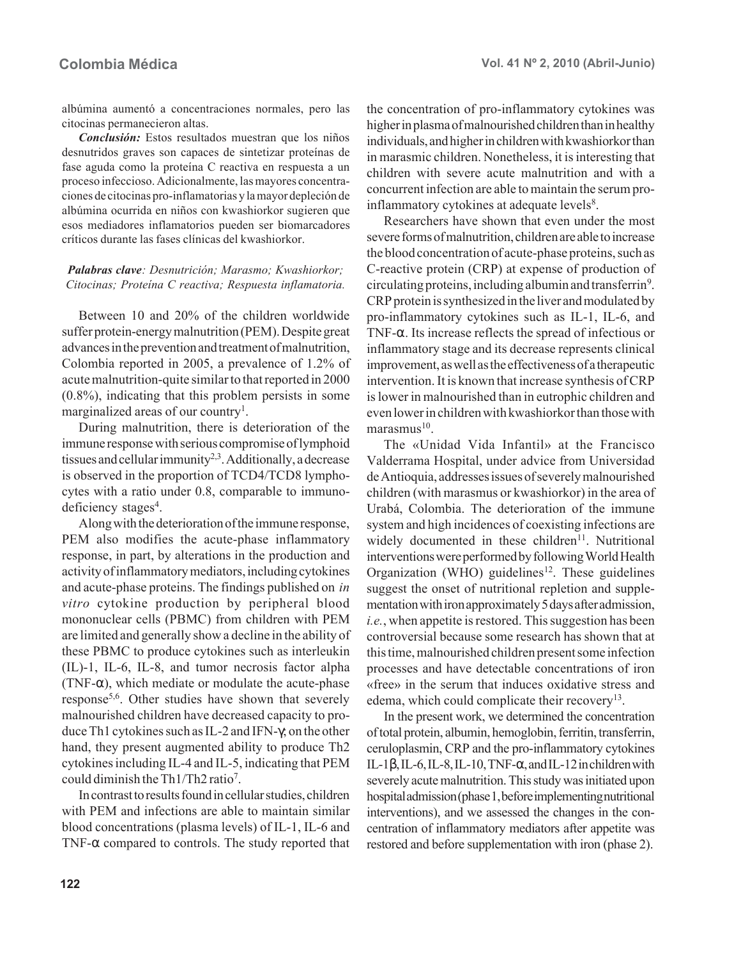albúmina aumentó a concentraciones normales, pero las citocinas permanecieron altas.

*Conclusión:* Estos resultados muestran que los niños desnutridos graves son capaces de sintetizar proteínas de fase aguda como la proteína C reactiva en respuesta a un proceso infeccioso. Adicionalmente, las mayores concentraciones de citocinas pro-inflamatorias y la mayor depleción de albúmina ocurrida en niños con kwashiorkor sugieren que esos mediadores inflamatorios pueden ser biomarcadores críticos durante las fases clínicas del kwashiorkor.

#### *Palabras clave: Desnutrición; Marasmo; Kwashiorkor; Citocinas; Proteína C reactiva; Respuesta inflamatoria.*

Between 10 and 20% of the children worldwide suffer protein-energy malnutrition (PEM). Despite great advances in the prevention and treatment of malnutrition, Colombia reported in 2005, a prevalence of 1.2% of acute malnutrition-quite similar to that reported in 2000 (0.8%), indicating that this problem persists in some marginalized areas of our country<sup>1</sup>.

During malnutrition, there is deterioration of the immune response with serious compromise of lymphoid tissues and cellular immunity<sup>2,3</sup>. Additionally, a decrease is observed in the proportion of TCD4/TCD8 lymphocytes with a ratio under 0.8, comparable to immunodeficiency stages<sup>4</sup>.

Along with the deterioration of the immune response, PEM also modifies the acute-phase inflammatory response, in part, by alterations in the production and activity of inflammatory mediators, including cytokines and acute-phase proteins. The findings published on *in vitro* cytokine production by peripheral blood mononuclear cells (PBMC) from children with PEM are limited and generally show a decline in the ability of these PBMC to produce cytokines such as interleukin (IL)-1, IL-6, IL-8, and tumor necrosis factor alpha (TNF- $\alpha$ ), which mediate or modulate the acute-phase response5,6. Other studies have shown that severely malnourished children have decreased capacity to produce Th1 cytokines such as IL-2 and IFN-γ; on the other hand, they present augmented ability to produce Th2 cytokines including IL-4 and IL-5, indicating that PEM could diminish the Th1/Th2 ratio7.

In contrast to results found in cellular studies, children with PEM and infections are able to maintain similar blood concentrations (plasma levels) of IL-1, IL-6 and TNF- $\alpha$  compared to controls. The study reported that the concentration of pro-inflammatory cytokines was higher in plasma of malnourished children than in healthy individuals, and higher in children with kwashiorkor than in marasmic children. Nonetheless, it is interesting that children with severe acute malnutrition and with a concurrent infection are able to maintain the serum proinflammatory cytokines at adequate levels<sup>8</sup>.

Researchers have shown that even under the most severe forms of malnutrition, children are able to increase the blood concentration of acute-phase proteins, such as C-reactive protein (CRP) at expense of production of circulating proteins, including albumin and transferrin<sup>9</sup>. CRP protein is synthesized in the liver and modulated by pro-inflammatory cytokines such as IL-1, IL-6, and TNF-α. Its increase reflects the spread of infectious or inflammatory stage and its decrease represents clinical improvement, as well as the effectiveness of a therapeutic intervention. It is known that increase synthesis of CRP is lower in malnourished than in eutrophic children and even lower in children with kwashiorkor than those with  $maxmax<sub>10</sub>$ 

The «Unidad Vida Infantil» at the Francisco Valderrama Hospital, under advice from Universidad de Antioquia, addresses issues of severely malnourished children (with marasmus or kwashiorkor) in the area of Urabá, Colombia. The deterioration of the immune system and high incidences of coexisting infections are widely documented in these children<sup>11</sup>. Nutritional interventions were performed by following World Health Organization (WHO) guidelines<sup>12</sup>. These guidelines suggest the onset of nutritional repletion and supplementation with iron approximately 5 days after admission, *i.e.*, when appetite is restored. This suggestion has been controversial because some research has shown that at this time, malnourished children present some infection processes and have detectable concentrations of iron «free» in the serum that induces oxidative stress and edema, which could complicate their recovery<sup>13</sup>.

In the present work, we determined the concentration of total protein, albumin, hemoglobin, ferritin, transferrin, ceruloplasmin, CRP and the pro-inflammatory cytokines IL-1 $\beta$ , IL-6, IL-8, IL-10, TNF- $\alpha$ , and IL-12 in children with severely acute malnutrition. This study was initiated upon hospital admission (phase 1, before implementing nutritional interventions), and we assessed the changes in the concentration of inflammatory mediators after appetite was restored and before supplementation with iron (phase 2).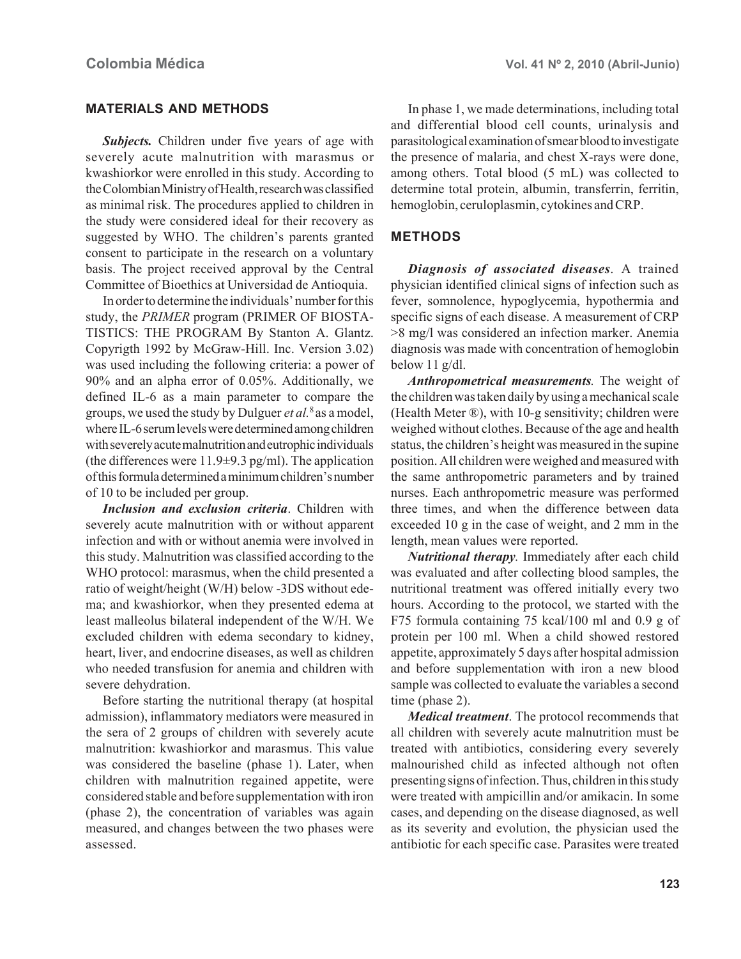### **MATERIALS AND METHODS**

*Subjects.* Children under five years of age with severely acute malnutrition with marasmus or kwashiorkor were enrolled in this study. According to the Colombian Ministry of Health, research was classified as minimal risk. The procedures applied to children in the study were considered ideal for their recovery as suggested by WHO. The children's parents granted consent to participate in the research on a voluntary basis. The project received approval by the Central Committee of Bioethics at Universidad de Antioquia.

In order to determine the individuals' number for this study, the *PRIMER* program (PRIMER OF BIOSTA-TISTICS: THE PROGRAM By Stanton A. Glantz. Copyrigth 1992 by McGraw-Hill. Inc. Version 3.02) was used including the following criteria: a power of 90% and an alpha error of 0.05%. Additionally, we defined IL-6 as a main parameter to compare the groups, we used the study by Dulguer *et al.*8 as a model, where IL-6 serum levels were determined among children with severely acute malnutrition and eutrophic individuals (the differences were  $11.9\pm9.3$  pg/ml). The application of this formula determined a minimum children's number of 10 to be included per group.

*Inclusion and exclusion criteria*. Children with severely acute malnutrition with or without apparent infection and with or without anemia were involved in this study. Malnutrition was classified according to the WHO protocol: marasmus, when the child presented a ratio of weight/height (W/H) below -3DS without edema; and kwashiorkor, when they presented edema at least malleolus bilateral independent of the W/H. We excluded children with edema secondary to kidney, heart, liver, and endocrine diseases, as well as children who needed transfusion for anemia and children with severe dehydration.

Before starting the nutritional therapy (at hospital admission), inflammatory mediators were measured in the sera of 2 groups of children with severely acute malnutrition: kwashiorkor and marasmus. This value was considered the baseline (phase 1). Later, when children with malnutrition regained appetite, were considered stable and before supplementation with iron (phase 2), the concentration of variables was again measured, and changes between the two phases were assessed.

In phase 1, we made determinations, including total and differential blood cell counts, urinalysis and parasitological examination of smear blood to investigate the presence of malaria, and chest X-rays were done, among others. Total blood (5 mL) was collected to determine total protein, albumin, transferrin, ferritin, hemoglobin, ceruloplasmin, cytokines and CRP.

#### **METHODS**

*Diagnosis of associated diseases*. A trained physician identified clinical signs of infection such as fever, somnolence, hypoglycemia, hypothermia and specific signs of each disease. A measurement of CRP >8 mg/l was considered an infection marker. Anemia diagnosis was made with concentration of hemoglobin below 11 g/dl.

*Anthropometrical measurements.* The weight of the children was taken daily by using a mechanical scale (Health Meter ®), with 10-g sensitivity; children were weighed without clothes. Because of the age and health status, the children's height was measured in the supine position. All children were weighed and measured with the same anthropometric parameters and by trained nurses. Each anthropometric measure was performed three times, and when the difference between data exceeded 10 g in the case of weight, and 2 mm in the length, mean values were reported.

*Nutritional therapy.* Immediately after each child was evaluated and after collecting blood samples, the nutritional treatment was offered initially every two hours. According to the protocol, we started with the F75 formula containing 75 kcal/100 ml and 0.9 g of protein per 100 ml. When a child showed restored appetite, approximately 5 days after hospital admission and before supplementation with iron a new blood sample was collected to evaluate the variables a second time (phase 2).

*Medical treatment*. The protocol recommends that all children with severely acute malnutrition must be treated with antibiotics, considering every severely malnourished child as infected although not often presenting signs of infection. Thus, children in this study were treated with ampicillin and/or amikacin. In some cases, and depending on the disease diagnosed, as well as its severity and evolution, the physician used the antibiotic for each specific case. Parasites were treated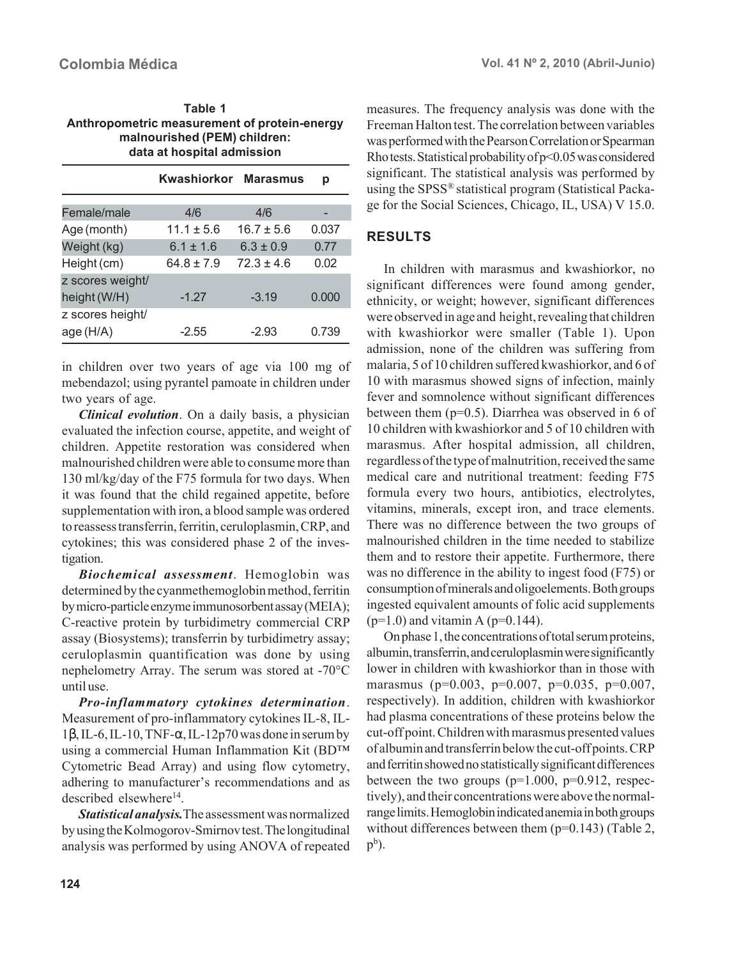| Table 1                                      |
|----------------------------------------------|
| Anthropometric measurement of protein-energy |
| malnourished (PEM) children:                 |
| data at hospital admission                   |

|                  | Kwashiorkor Marasmus |                | р     |
|------------------|----------------------|----------------|-------|
|                  |                      |                |       |
| Female/male      | 4/6                  | 4/6            |       |
| Age (month)      | $11.1 \pm 5.6$       | $16.7 \pm 5.6$ | 0.037 |
| Weight (kg)      | $6.1 \pm 1.6$        | $6.3 \pm 0.9$  | 0.77  |
| Height (cm)      | $64.8 \pm 7.9$       | $72.3 \pm 4.6$ | 0.02  |
| z scores weight/ |                      |                |       |
| height (W/H)     | $-1.27$              | $-3.19$        | 0.000 |
| z scores height/ |                      |                |       |
| age(H/A)         | $-2.55$              | $-2.93$        | 0.739 |

in children over two years of age via 100 mg of mebendazol; using pyrantel pamoate in children under two years of age.

*Clinical evolution*. On a daily basis, a physician evaluated the infection course, appetite, and weight of children. Appetite restoration was considered when malnourished children were able to consume more than 130 ml/kg/day of the F75 formula for two days. When it was found that the child regained appetite, before supplementation with iron, a blood sample was ordered to reassess transferrin, ferritin, ceruloplasmin, CRP, and cytokines; this was considered phase 2 of the investigation.

*Biochemical assessment*. Hemoglobin was determined by the cyanmethemoglobin method, ferritin by micro-particle enzyme immunosorbent assay (MEIA); C-reactive protein by turbidimetry commercial CRP assay (Biosystems); transferrin by turbidimetry assay; ceruloplasmin quantification was done by using nephelometry Array. The serum was stored at -70°C until use.

*Pro-inflammatory cytokines determination*. Measurement of pro-inflammatory cytokines IL-8, IL-1β, IL-6, IL-10, TNF-α, IL-12p70 was done in serum by using a commercial Human Inflammation Kit (BD™ Cytometric Bead Array) and using flow cytometry, adhering to manufacturer's recommendations and as described elsewhere<sup>14</sup>.

*Statistical analysis.*The assessment was normalized by using the Kolmogorov-Smirnov test. The longitudinal analysis was performed by using ANOVA of repeated measures. The frequency analysis was done with the Freeman Halton test. The correlation between variables was performed with the Pearson Correlation or Spearman Rho tests. Statistical probability of p<0.05 was considered significant. The statistical analysis was performed by using the SPSS® statistical program (Statistical Package for the Social Sciences, Chicago, IL, USA) V 15.0.

# **RESULTS**

In children with marasmus and kwashiorkor, no significant differences were found among gender, ethnicity, or weight; however, significant differences were observed in age and height, revealing that children with kwashiorkor were smaller (Table 1). Upon admission, none of the children was suffering from malaria, 5 of 10 children suffered kwashiorkor, and 6 of 10 with marasmus showed signs of infection, mainly fever and somnolence without significant differences between them (p=0.5). Diarrhea was observed in 6 of 10 children with kwashiorkor and 5 of 10 children with marasmus. After hospital admission, all children, regardless of the type of malnutrition, received the same medical care and nutritional treatment: feeding F75 formula every two hours, antibiotics, electrolytes, vitamins, minerals, except iron, and trace elements. There was no difference between the two groups of malnourished children in the time needed to stabilize them and to restore their appetite. Furthermore, there was no difference in the ability to ingest food (F75) or consumption of minerals and oligoelements. Both groups ingested equivalent amounts of folic acid supplements  $(p=1.0)$  and vitamin A  $(p=0.144)$ .

On phase 1, the concentrations of total serum proteins, albumin, transferrin, and ceruloplasmin were significantly lower in children with kwashiorkor than in those with marasmus (p=0.003, p=0.007, p=0.035, p=0.007, respectively). In addition, children with kwashiorkor had plasma concentrations of these proteins below the cut-off point. Children with marasmus presented values of albumin and transferrin below the cut-off points. CRP and ferritin showed no statistically significant differences between the two groups  $(p=1.000, p=0.912, \text{respec}$ tively), and their concentrations were above the normalrange limits. Hemoglobin indicated anemia in both groups without differences between them (p=0.143) (Table 2,  $p^b$ ).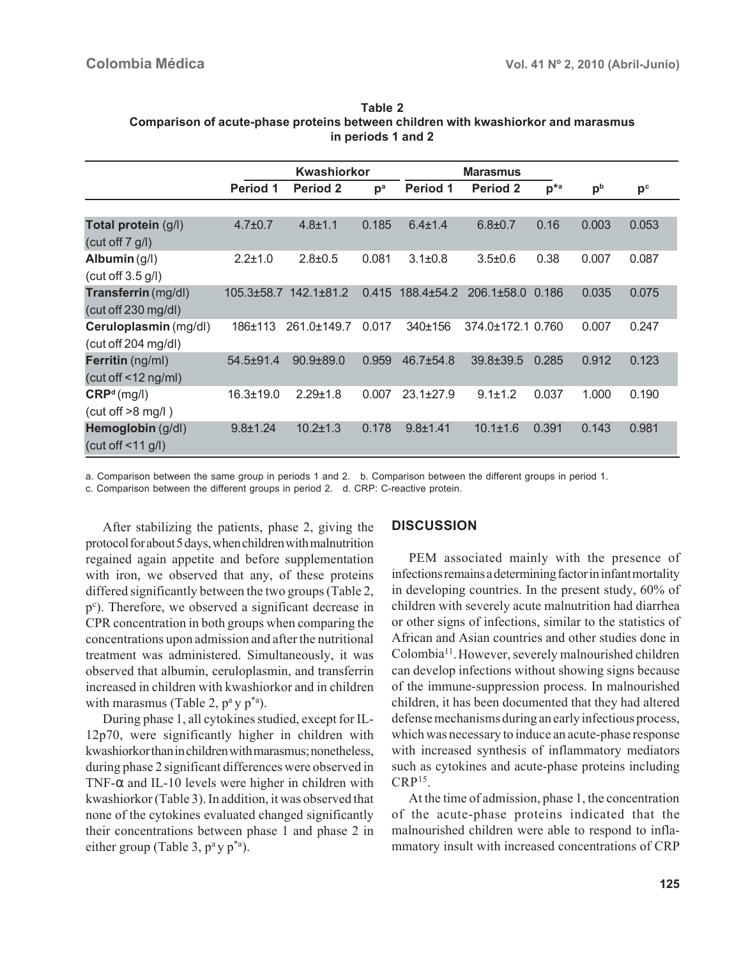|                                               | Kwashiorkor     |                       |                | <b>Marasmus</b>  |                   |               |                |                |
|-----------------------------------------------|-----------------|-----------------------|----------------|------------------|-------------------|---------------|----------------|----------------|
|                                               | <b>Period 1</b> | <b>Period 2</b>       | p <sup>a</sup> | Period 1         | <b>Period 2</b>   | $p^{\star a}$ | p <sub>b</sub> | p <sub>c</sub> |
|                                               |                 |                       |                |                  |                   |               |                |                |
| Total protein (g/l)<br>(cut off $7$ g/l)      | $4.7 \pm 0.7$   | $4.8 + 1.1$           | 0.185          | $6.4 \pm 1.4$    | $6.8{\pm}0.7$     | 0.16          | 0.003          | 0.053          |
| Albumin $(g/l)$<br>(cut off $3.5$ g/l)        | $2.2 \pm 1.0$   | $2.8 + 0.5$           | 0.081          | $3.1 \pm 0.8$    | $3.5 \pm 0.6$     | 0.38          | 0.007          | 0.087          |
| Transferrin (mg/dl)<br>(cut off 230 mg/dl)    |                 | 105.3±58.7 142.1±81.2 | 0.415          | $188.4 \pm 54.2$ | $206.1 \pm 58.0$  | 0.186         | 0.035          | 0.075          |
| Ceruloplasmin (mg/dl)<br>(cut off 204 mg/dl)  | 186±113         | 261.0±149.7           | 0.017          | 340±156          | 374.0±172.1 0.760 |               | 0.007          | 0.247          |
| Ferritin (ng/ml)<br>(cut off $\leq$ 12 ng/ml) | $54.5 + 91.4$   | $90.9 + 89.0$         | 0.959          | $46.7 \pm 54.8$  | $39.8 \pm 39.5$   | 0.285         | 0.912          | 0.123          |
| CRP <sup>d</sup> (mg/l)<br>(cut off > 8 mg/l) | 16.3±19.0       | $2.29 + 1.8$          | 0.007          | $23.1 \pm 27.9$  | $9.1 \pm 1.2$     | 0.037         | 1.000          | 0.190          |
| Hemoglobin (g/dl)<br>(cut off $\leq$ 11 g/l)  | $9.8 \pm 1.24$  | $10.2 \pm 1.3$        | 0.178          | $9.8 + 1.41$     | $10.1 \pm 1.6$    | 0.391         | 0.143          | 0.981          |

**Table 2 Comparison of acute-phase proteins between children with kwashiorkor and marasmus in periods 1 and 2**

a. Comparison between the same group in periods 1 and 2. b. Comparison between the different groups in period 1.

c. Comparison between the different groups in period 2. d. CRP: C-reactive protein.

After stabilizing the patients, phase 2, giving the protocol for about 5 days, when children with malnutrition regained again appetite and before supplementation with iron, we observed that any, of these proteins differed significantly between the two groups (Table 2, p<sup>c</sup>). Therefore, we observed a significant decrease in CPR concentration in both groups when comparing the concentrations upon admission and after the nutritional treatment was administered. Simultaneously, it was observed that albumin, ceruloplasmin, and transferrin increased in children with kwashiorkor and in children with marasmus (Table 2,  $p^a y p^{*a}$ ).

During phase 1, all cytokines studied, except for IL-12p70, were significantly higher in children with kwashiorkor than in children with marasmus; nonetheless, during phase 2 significant differences were observed in TNF- $\alpha$  and IL-10 levels were higher in children with kwashiorkor (Table 3). In addition, it was observed that none of the cytokines evaluated changed significantly their concentrations between phase 1 and phase 2 in either group (Table 3,  $p^a$  y  $p^{*a}$ ).

#### **DISCUSSION**

PEM associated mainly with the presence of infections remains a determining factor in infant mortality in developing countries. In the present study, 60% of children with severely acute malnutrition had diarrhea or other signs of infections, similar to the statistics of African and Asian countries and other studies done in Colombia11.However, severely malnourished children can develop infections without showing signs because of the immune-suppression process. In malnourished children, it has been documented that they had altered defense mechanisms during an early infectious process, which was necessary to induce an acute-phase response with increased synthesis of inflammatory mediators such as cytokines and acute-phase proteins including  $CRP<sup>15</sup>$ .

At the time of admission, phase 1, the concentration of the acute-phase proteins indicated that the malnourished children were able to respond to inflammatory insult with increased concentrations of CRP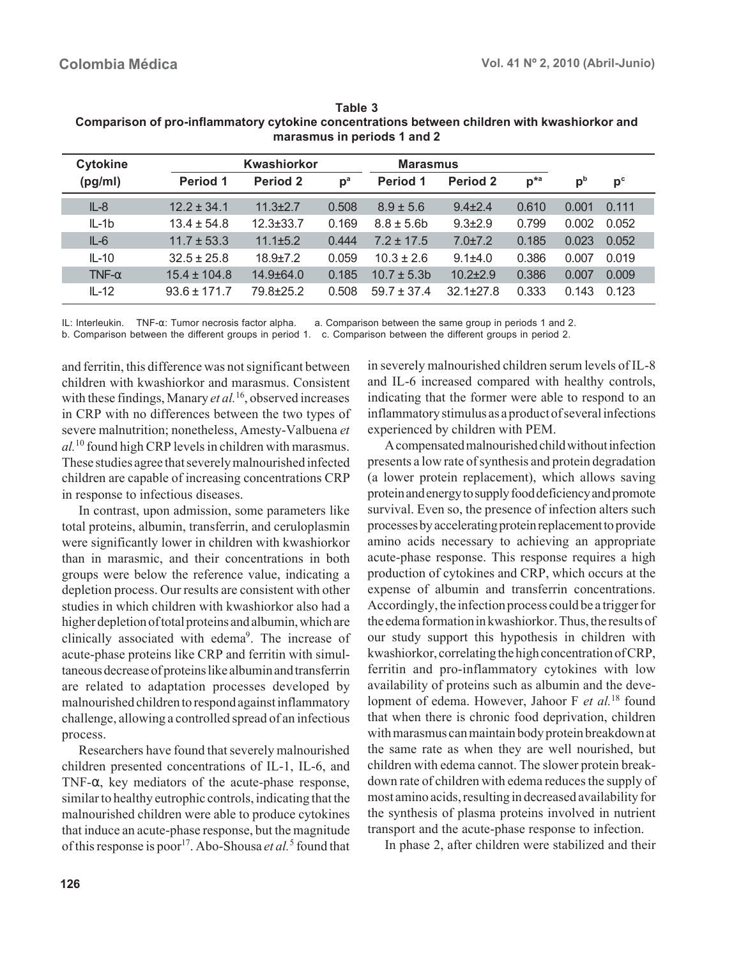| <b>Cytokine</b> | Kwashiorkor      |                 | <b>Marasmus</b> |                 |               |               |                |                |
|-----------------|------------------|-----------------|-----------------|-----------------|---------------|---------------|----------------|----------------|
| (pg/ml)         | Period 1         | Period 2        | $p^a$           | Period 1        | Period 2      | $p^{\star a}$ | p <sub>b</sub> | p <sub>c</sub> |
| $IL-8$          | $12.2 \pm 34.1$  | $11.3 + 2.7$    | 0.508           | $8.9 \pm 5.6$   | $9.4 \pm 2.4$ | 0.610         | 0.001          | 0.111          |
| $IL-1b$         | $13.4 \pm 54.8$  | $12.3 \pm 33.7$ | 0.169           | $8.8 \pm 5.6$ b | $9.3 \pm 2.9$ | 0.799         | 0.002          | 0.052          |
| $IL-6$          | $11.7 \pm 53.3$  | $11.1 + 5.2$    | 0.444           | $7.2 + 17.5$    | $7.0 \pm 7.2$ | 0.185         | 0.023          | 0.052          |
| $IL-10$         | $32.5 + 25.8$    | $18.9 + 7.2$    | 0.059           | $10.3 + 2.6$    | $9.1 + 4.0$   | 0.386         | 0.007          | 0.019          |
| TNF- $\alpha$   | $15.4 \pm 104.8$ | $14.9 + 64.0$   | 0.185           | $10.7 + 5.3$ h  | $10.2 + 2.9$  | 0.386         | 0.007          | 0.009          |
| $IL-12$         | $93.6 + 171.7$   | 79.8±25.2       | 0.508           | $59.7 + 37.4$   | $32.1 + 27.8$ | 0.333         | 0.143          | 0.123          |

**Table 3 Comparison of pro-inflammatory cytokine concentrations between children with kwashiorkor and marasmus in periods 1 and 2**

IL: Interleukin. TNF-α: Tumor necrosis factor alpha. a. Comparison between the same group in periods 1 and 2. b. Comparison between the different groups in period 1. c. Comparison between the different groups in period 2.

and ferritin, this difference was not significant between children with kwashiorkor and marasmus. Consistent with these findings, Manary *et al.*16, observed increases in CRP with no differences between the two types of severe malnutrition; nonetheless, Amesty-Valbuena *et al.*10 found high CRP levels in children with marasmus. These studies agree that severely malnourished infected children are capable of increasing concentrations CRP in response to infectious diseases.

In contrast, upon admission, some parameters like total proteins, albumin, transferrin, and ceruloplasmin were significantly lower in children with kwashiorkor than in marasmic, and their concentrations in both groups were below the reference value, indicating a depletion process. Our results are consistent with other studies in which children with kwashiorkor also had a higher depletion of total proteins and albumin, which are clinically associated with edema<sup>9</sup>. The increase of acute-phase proteins like CRP and ferritin with simultaneous decrease of proteins like albumin and transferrin are related to adaptation processes developed by malnourished children to respond against inflammatory challenge, allowing a controlled spread of an infectious process.

Researchers have found that severely malnourished children presented concentrations of IL-1, IL-6, and TNF-α, key mediators of the acute-phase response, similar to healthy eutrophic controls, indicating that the malnourished children were able to produce cytokines that induce an acute-phase response, but the magnitude of this response is poor<sup>17</sup>. Abo-Shousa *et al.*<sup>5</sup> found that

in severely malnourished children serum levels of IL-8 and IL-6 increased compared with healthy controls, indicating that the former were able to respond to an inflammatory stimulus as a product of several infections experienced by children with PEM.

A compensated malnourished child without infection presents a low rate of synthesis and protein degradation (a lower protein replacement), which allows saving protein and energy to supply food deficiency and promote survival. Even so, the presence of infection alters such processes by accelerating protein replacement to provide amino acids necessary to achieving an appropriate acute-phase response. This response requires a high production of cytokines and CRP, which occurs at the expense of albumin and transferrin concentrations. Accordingly, the infection process could be a trigger for the edema formation in kwashiorkor. Thus, the results of our study support this hypothesis in children with kwashiorkor, correlating the high concentration of CRP, ferritin and pro-inflammatory cytokines with low availability of proteins such as albumin and the development of edema. However, Jahoor F *et al.*18 found that when there is chronic food deprivation, children with marasmus can maintain body protein breakdown at the same rate as when they are well nourished, but children with edema cannot. The slower protein breakdown rate of children with edema reduces the supply of most amino acids, resulting in decreased availability for the synthesis of plasma proteins involved in nutrient transport and the acute-phase response to infection.

In phase 2, after children were stabilized and their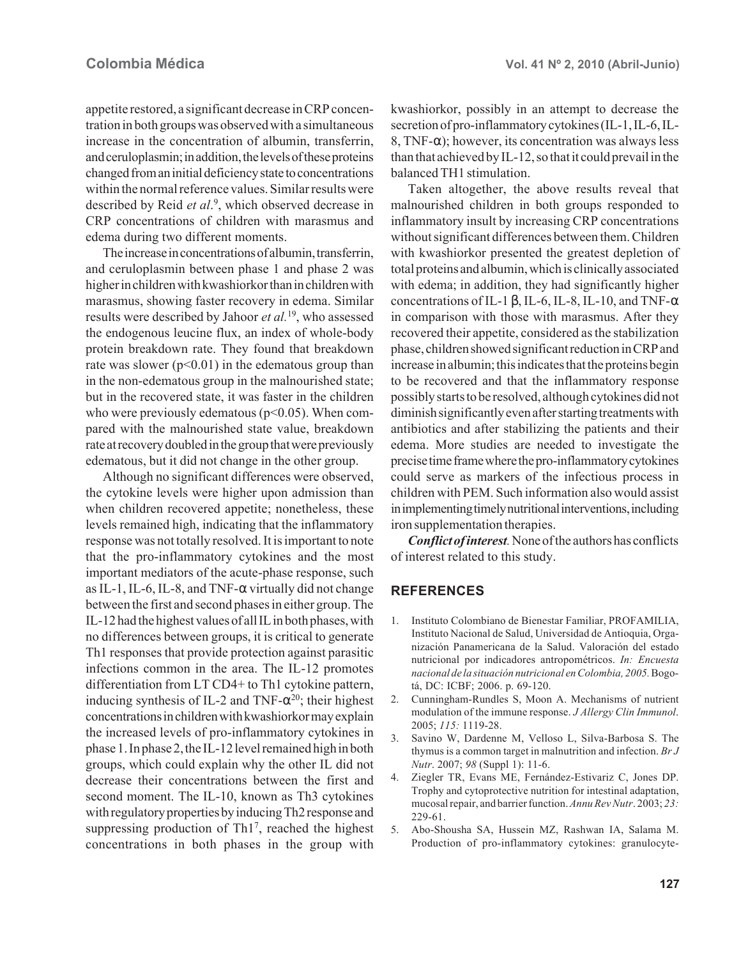appetite restored, a significant decrease in CRP concentration in both groups was observed with a simultaneous increase in the concentration of albumin, transferrin, and ceruloplasmin; in addition, the levels of these proteins changed from an initial deficiency state to concentrations within the normal reference values. Similar results were described by Reid *et al*. 9 , which observed decrease in CRP concentrations of children with marasmus and edema during two different moments.

The increase in concentrations of albumin, transferrin, and ceruloplasmin between phase 1 and phase 2 was higher in children with kwashiorkor than in children with marasmus, showing faster recovery in edema. Similar results were described by Jahoor *et al.*19, who assessed the endogenous leucine flux, an index of whole-body protein breakdown rate. They found that breakdown rate was slower  $(p<0.01)$  in the edematous group than in the non-edematous group in the malnourished state; but in the recovered state, it was faster in the children who were previously edematous ( $p<0.05$ ). When compared with the malnourished state value, breakdown rate at recovery doubled in the group that were previously edematous, but it did not change in the other group.

Although no significant differences were observed, the cytokine levels were higher upon admission than when children recovered appetite; nonetheless, these levels remained high, indicating that the inflammatory response was not totally resolved. It is important to note that the pro-inflammatory cytokines and the most important mediators of the acute-phase response, such as IL-1, IL-6, IL-8, and TNF- $\alpha$  virtually did not change between the first and second phases in either group. The IL-12 had the highest values of all IL in both phases, with no differences between groups, it is critical to generate Th1 responses that provide protection against parasitic infections common in the area. The IL-12 promotes differentiation from LT CD4+ to Th1 cytokine pattern, inducing synthesis of IL-2 and TNF- $\alpha^{20}$ ; their highest concentrations in children with kwashiorkor may explain the increased levels of pro-inflammatory cytokines in phase 1. In phase 2, the IL-12 level remained high in both groups, which could explain why the other IL did not decrease their concentrations between the first and second moment. The IL-10, known as Th3 cytokines with regulatory properties by inducing Th2 response and suppressing production of Th1<sup>7</sup>, reached the highest concentrations in both phases in the group with

kwashiorkor, possibly in an attempt to decrease the secretion of pro-inflammatory cytokines (IL-1, IL-6, IL-8, TNF- $\alpha$ ); however, its concentration was always less than that achieved by IL-12, so that it could prevail in the balanced TH1 stimulation.

Taken altogether, the above results reveal that malnourished children in both groups responded to inflammatory insult by increasing CRP concentrations without significant differences between them. Children with kwashiorkor presented the greatest depletion of total proteins and albumin, which is clinically associated with edema; in addition, they had significantly higher concentrations of IL-1  $\beta$ , IL-6, IL-8, IL-10, and TNF- $\alpha$ in comparison with those with marasmus. After they recovered their appetite, considered as the stabilization phase, children showed significant reduction in CRP and increase in albumin; this indicates that the proteins begin to be recovered and that the inflammatory response possibly starts to be resolved, although cytokines did not diminish significantly even after starting treatments with antibiotics and after stabilizing the patients and their edema. More studies are needed to investigate the precise time frame where the pro-inflammatory cytokines could serve as markers of the infectious process in children with PEM. Such information also would assist in implementing timely nutritional interventions, including iron supplementation therapies.

*Conflict of interest.* None of the authors has conflicts of interest related to this study.

#### **REFERENCES**

- 1. Instituto Colombiano de Bienestar Familiar, PROFAMILIA, Instituto Nacional de Salud, Universidad de Antioquia, Organización Panamericana de la Salud. Valoración del estado nutricional por indicadores antropométricos. *In: Encuesta nacional de la situación nutricional en Colombia, 2005.* Bogotá, DC: ICBF; 2006. p. 69-120.
- 2. Cunningham-Rundles S, Moon A. Mechanisms of nutrient modulation of the immune response. *J Allergy Clin Immunol*. 2005; *115:* 1119-28.
- 3. Savino W, Dardenne M, Velloso L, Silva-Barbosa S. The thymus is a common target in malnutrition and infection. *Br J Nutr*. 2007; *98* (Suppl 1): 11-6.
- 4. Ziegler TR, Evans ME, Fernández-Estivariz C, Jones DP. Trophy and cytoprotective nutrition for intestinal adaptation, mucosal repair, and barrier function. *Annu Rev Nutr*. 2003; *23:* 229-61.
- 5. Abo-Shousha SA, Hussein MZ, Rashwan IA, Salama M. Production of pro-inflammatory cytokines: granulocyte-